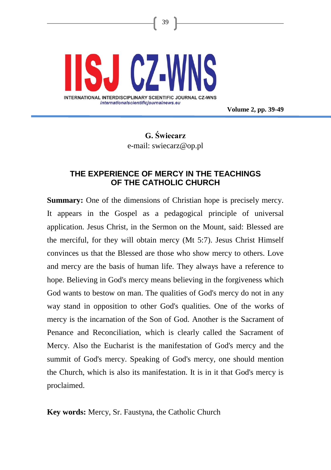

**Volume 2, pp. 39-49**

# **G. Świecarz** e-mail: swiecarz@op.pl

39

# **THE EXPERIENCE OF MERCY IN THE TEACHINGS OF THE CATHOLIC CHURCH**

**Summary:** One of the dimensions of Christian hope is precisely mercy. It appears in the Gospel as a pedagogical principle of universal application. Jesus Christ, in the Sermon on the Mount, said: Blessed are the merciful, for they will obtain mercy (Mt 5:7). Jesus Christ Himself convinces us that the Blessed are those who show mercy to others. Love and mercy are the basis of human life. They always have a reference to hope. Believing in God's mercy means believing in the forgiveness which God wants to bestow on man. The qualities of God's mercy do not in any way stand in opposition to other God's qualities. One of the works of mercy is the incarnation of the Son of God. Another is the Sacrament of Penance and Reconciliation, which is clearly called the Sacrament of Mercy. Also the Eucharist is the manifestation of God's mercy and the summit of God's mercy. Speaking of God's mercy, one should mention the Church, which is also its manifestation. It is in it that God's mercy is proclaimed.

**Key words:** Mercy, Sr. Faustyna, the Catholic Church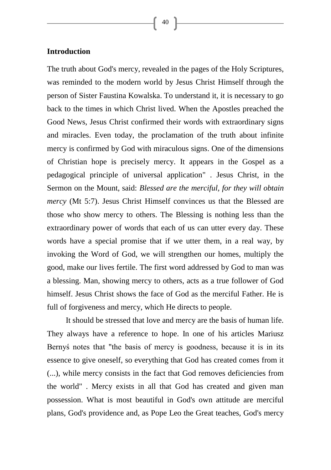### **Introduction**

The truth about God's mercy, revealed in the pages of the Holy Scriptures, was reminded to the modern world by Jesus Christ Himself through the person of Sister Faustina Kowalska. To understand it, it is necessary to go back to the times in which Christ lived. When the Apostles preached the Good News, Jesus Christ confirmed their words with extraordinary signs and miracles. Even today, the proclamation of the truth about infinite mercy is confirmed by God with miraculous signs. One of the dimensions of Christian hope is precisely mercy. It appears in the Gospel as a pedagogical principle of universal application" . Jesus Christ, in the Sermon on the Mount, said: *Blessed are the merciful, for they will obtain mercy* (Mt 5:7). Jesus Christ Himself convinces us that the Blessed are those who show mercy to others. The Blessing is nothing less than the extraordinary power of words that each of us can utter every day. These words have a special promise that if we utter them, in a real way, by invoking the Word of God, we will strengthen our homes, multiply the good, make our lives fertile. The first word addressed by God to man was a blessing. Man, showing mercy to others, acts as a true follower of God himself. Jesus Christ shows the face of God as the merciful Father. He is full of forgiveness and mercy, which He directs to people.

It should be stressed that love and mercy are the basis of human life. They always have a reference to hope. In one of his articles Mariusz Bernyś notes that "the basis of mercy is goodness, because it is in its essence to give oneself, so everything that God has created comes from it (...), while mercy consists in the fact that God removes deficiencies from the world" . Mercy exists in all that God has created and given man possession. What is most beautiful in God's own attitude are merciful plans, God's providence and, as Pope Leo the Great teaches, God's mercy

40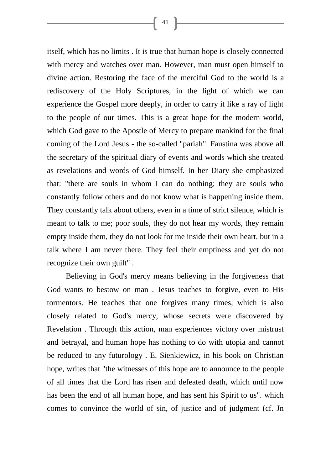itself, which has no limits . It is true that human hope is closely connected with mercy and watches over man. However, man must open himself to divine action. Restoring the face of the merciful God to the world is a rediscovery of the Holy Scriptures, in the light of which we can experience the Gospel more deeply, in order to carry it like a ray of light to the people of our times. This is a great hope for the modern world, which God gave to the Apostle of Mercy to prepare mankind for the final coming of the Lord Jesus - the so-called "pariah". Faustina was above all the secretary of the spiritual diary of events and words which she treated as revelations and words of God himself. In her Diary she emphasized that: "there are souls in whom I can do nothing; they are souls who constantly follow others and do not know what is happening inside them. They constantly talk about others, even in a time of strict silence, which is meant to talk to me; poor souls, they do not hear my words, they remain empty inside them, they do not look for me inside their own heart, but in a talk where I am never there. They feel their emptiness and yet do not recognize their own guilt" .

Believing in God's mercy means believing in the forgiveness that God wants to bestow on man . Jesus teaches to forgive, even to His tormentors. He teaches that one forgives many times, which is also closely related to God's mercy, whose secrets were discovered by Revelation . Through this action, man experiences victory over mistrust and betrayal, and human hope has nothing to do with utopia and cannot be reduced to any futurology . E. Sienkiewicz, in his book on Christian hope, writes that "the witnesses of this hope are to announce to the people of all times that the Lord has risen and defeated death, which until now has been the end of all human hope, and has sent his Spirit to us". which comes to convince the world of sin, of justice and of judgment (cf. Jn

 $\left\lceil 41 \right\rceil$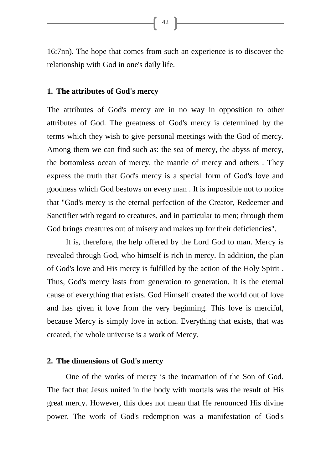16:7nn). The hope that comes from such an experience is to discover the relationship with God in one's daily life.

#### **1. The attributes of God's mercy**

The attributes of God's mercy are in no way in opposition to other attributes of God. The greatness of God's mercy is determined by the terms which they wish to give personal meetings with the God of mercy. Among them we can find such as: the sea of mercy, the abyss of mercy, the bottomless ocean of mercy, the mantle of mercy and others . They express the truth that God's mercy is a special form of God's love and goodness which God bestows on every man . It is impossible not to notice that "God's mercy is the eternal perfection of the Creator, Redeemer and Sanctifier with regard to creatures, and in particular to men; through them God brings creatures out of misery and makes up for their deficiencies".

It is, therefore, the help offered by the Lord God to man. Mercy is revealed through God, who himself is rich in mercy. In addition, the plan of God's love and His mercy is fulfilled by the action of the Holy Spirit . Thus, God's mercy lasts from generation to generation. It is the eternal cause of everything that exists. God Himself created the world out of love and has given it love from the very beginning. This love is merciful, because Mercy is simply love in action. Everything that exists, that was created, the whole universe is a work of Mercy.

#### **2. The dimensions of God's mercy**

One of the works of mercy is the incarnation of the Son of God. The fact that Jesus united in the body with mortals was the result of His great mercy. However, this does not mean that He renounced His divine power. The work of God's redemption was a manifestation of God's

 $\begin{bmatrix} 42 \end{bmatrix}$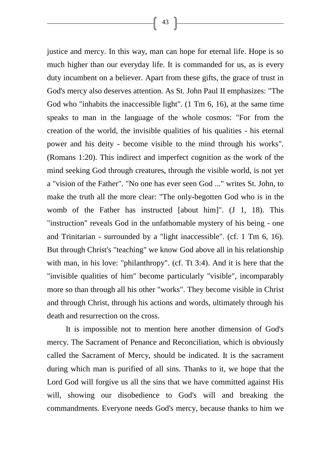justice and mercy. In this way, man can hope for eternal life. Hope is so much higher than our everyday life. It is commanded for us, as is every duty incumbent on a believer. Apart from these gifts, the grace of trust in God's mercy also deserves attention. As St. John Paul II emphasizes: "The God who "inhabits the inaccessible light". (1 Tm 6, 16), at the same time speaks to man in the language of the whole cosmos: "For from the creation of the world, the invisible qualities of his qualities - his eternal power and his deity - become visible to the mind through his works". (Romans 1:20). This indirect and imperfect cognition as the work of the mind seeking God through creatures, through the visible world, is not yet a "vision of the Father". "No one has ever seen God ..." writes St. John, to make the truth all the more clear: "The only-begotten God who is in the womb of the Father has instructed [about him]". (J 1, 18). This "instruction" reveals God in the unfathomable mystery of his being - one and Trinitarian - surrounded by a "light inaccessible". (cf. 1 Tm 6, 16). But through Christ's "teaching" we know God above all in his relationship with man, in his love: "philanthropy". (cf. Tt 3:4). And it is here that the "invisible qualities of him" become particularly "visible", incomparably more so than through all his other "works". They become visible in Christ and through Christ, through his actions and words, ultimately through his death and resurrection on the cross.

It is impossible not to mention here another dimension of God's mercy. The Sacrament of Penance and Reconciliation, which is obviously called the Sacrament of Mercy, should be indicated. It is the sacrament during which man is purified of all sins. Thanks to it, we hope that the Lord God will forgive us all the sins that we have committed against His will, showing our disobedience to God's will and breaking the commandments. Everyone needs God's mercy, because thanks to him we

 $\begin{bmatrix} 43 \end{bmatrix}$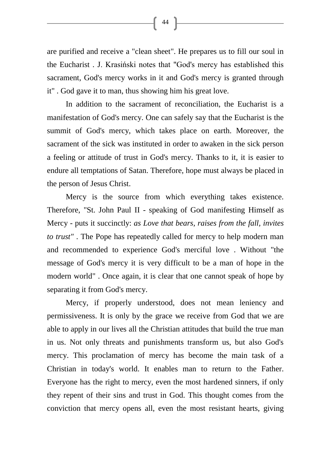are purified and receive a "clean sheet". He prepares us to fill our soul in the Eucharist . J. Krasiński notes that "God's mercy has established this sacrament, God's mercy works in it and God's mercy is granted through it" . God gave it to man, thus showing him his great love.

 $\left\{ \begin{array}{c} 44 \end{array} \right\}$ 

In addition to the sacrament of reconciliation, the Eucharist is a manifestation of God's mercy. One can safely say that the Eucharist is the summit of God's mercy, which takes place on earth. Moreover, the sacrament of the sick was instituted in order to awaken in the sick person a feeling or attitude of trust in God's mercy. Thanks to it, it is easier to endure all temptations of Satan. Therefore, hope must always be placed in the person of Jesus Christ.

Mercy is the source from which everything takes existence. Therefore, "St. John Paul II - speaking of God manifesting Himself as Mercy - puts it succinctly: *as Love that bears, raises from the fall, invites to trust"* . The Pope has repeatedly called for mercy to help modern man and recommended to experience God's merciful love . Without "the message of God's mercy it is very difficult to be a man of hope in the modern world" . Once again, it is clear that one cannot speak of hope by separating it from God's mercy.

Mercy, if properly understood, does not mean leniency and permissiveness. It is only by the grace we receive from God that we are able to apply in our lives all the Christian attitudes that build the true man in us. Not only threats and punishments transform us, but also God's mercy. This proclamation of mercy has become the main task of a Christian in today's world. It enables man to return to the Father. Everyone has the right to mercy, even the most hardened sinners, if only they repent of their sins and trust in God. This thought comes from the conviction that mercy opens all, even the most resistant hearts, giving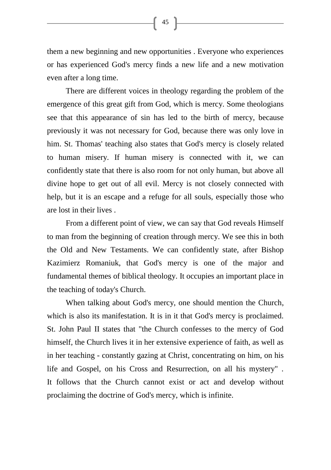them a new beginning and new opportunities . Everyone who experiences or has experienced God's mercy finds a new life and a new motivation even after a long time.

There are different voices in theology regarding the problem of the emergence of this great gift from God, which is mercy. Some theologians see that this appearance of sin has led to the birth of mercy, because previously it was not necessary for God, because there was only love in him. St. Thomas' teaching also states that God's mercy is closely related to human misery. If human misery is connected with it, we can confidently state that there is also room for not only human, but above all divine hope to get out of all evil. Mercy is not closely connected with help, but it is an escape and a refuge for all souls, especially those who are lost in their lives .

From a different point of view, we can say that God reveals Himself to man from the beginning of creation through mercy. We see this in both the Old and New Testaments. We can confidently state, after Bishop Kazimierz Romaniuk, that God's mercy is one of the major and fundamental themes of biblical theology. It occupies an important place in the teaching of today's Church.

When talking about God's mercy, one should mention the Church, which is also its manifestation. It is in it that God's mercy is proclaimed. St. John Paul II states that "the Church confesses to the mercy of God himself, the Church lives it in her extensive experience of faith, as well as in her teaching - constantly gazing at Christ, concentrating on him, on his life and Gospel, on his Cross and Resurrection, on all his mystery" . It follows that the Church cannot exist or act and develop without proclaiming the doctrine of God's mercy, which is infinite.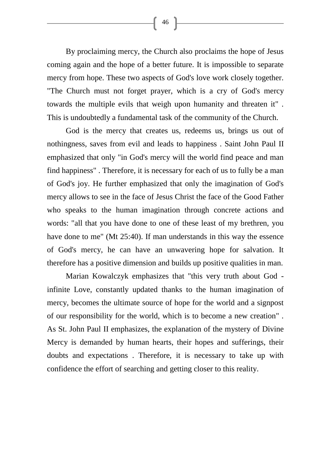By proclaiming mercy, the Church also proclaims the hope of Jesus coming again and the hope of a better future. It is impossible to separate mercy from hope. These two aspects of God's love work closely together. "The Church must not forget prayer, which is a cry of God's mercy towards the multiple evils that weigh upon humanity and threaten it" . This is undoubtedly a fundamental task of the community of the Church.

God is the mercy that creates us, redeems us, brings us out of nothingness, saves from evil and leads to happiness . Saint John Paul II emphasized that only "in God's mercy will the world find peace and man find happiness" . Therefore, it is necessary for each of us to fully be a man of God's joy. He further emphasized that only the imagination of God's mercy allows to see in the face of Jesus Christ the face of the Good Father who speaks to the human imagination through concrete actions and words: "all that you have done to one of these least of my brethren, you have done to me" (Mt 25:40). If man understands in this way the essence of God's mercy, he can have an unwavering hope for salvation. It therefore has a positive dimension and builds up positive qualities in man.

Marian Kowalczyk emphasizes that "this very truth about God infinite Love, constantly updated thanks to the human imagination of mercy, becomes the ultimate source of hope for the world and a signpost of our responsibility for the world, which is to become a new creation" . As St. John Paul II emphasizes, the explanation of the mystery of Divine Mercy is demanded by human hearts, their hopes and sufferings, their doubts and expectations . Therefore, it is necessary to take up with confidence the effort of searching and getting closer to this reality.

 $\begin{bmatrix} 46 \end{bmatrix}$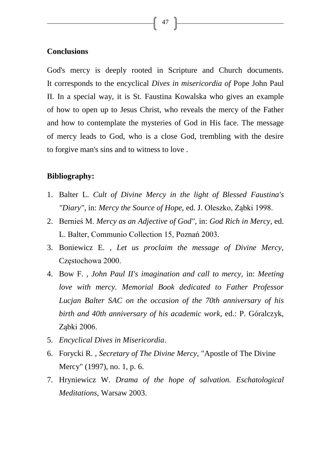## **Conclusions**

God's mercy is deeply rooted in Scripture and Church documents. It corresponds to the encyclical *Dives in misericordia of* Pope John Paul II. In a special way, it is St. Faustina Kowalska who gives an example of how to open up to Jesus Christ, who reveals the mercy of the Father and how to contemplate the mysteries of God in His face. The message of mercy leads to God, who is a close God, trembling with the desire to forgive man's sins and to witness to love .

47

#### **Bibliography:**

- 1. Balter L. *Cult of Divine Mercy in the light of Blessed Faustina's "Diary",* in: *Mercy the Source of Hope*, ed. J. Oleszko, Ząbki 1998.
- 2. Bernieś M. *Mercy as an Adjective of God",* in: *God Rich in Mercy,* ed. L. Balter, Communio Collection 15, Poznań 2003.
- 3. Boniewicz E. , *Let us proclaim the message of Divine Mercy,*  Częstochowa 2000.
- 4. Bow F. , *John Paul II's imagination and call to mercy,* in: *Meeting love with mercy. Memorial Book dedicated to Father Professor Lucjan Balter SAC on the occasion of the 70th anniversary of his birth and 40th anniversary of his academic work,* ed.: P. Góralczyk, Ząbki 2006.
- 5. *Encyclical Dives in Misericordia*.
- 6. Forycki R. , *Secretary of The Divine Mercy*, "Apostle of The Divine Mercy" (1997), no. 1, p. 6.
- 7. Hryniewicz W. *Drama of the hope of salvation. Eschatological Meditations,* Warsaw 2003.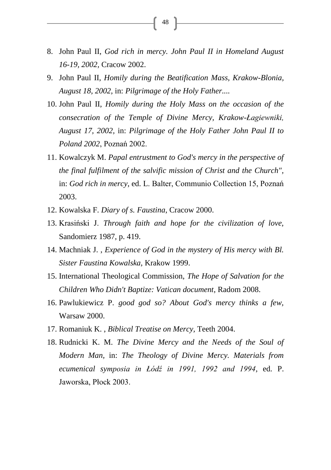- 8. John Paul II, *God rich in mercy. John Paul II in Homeland August 16-19, 2002,* Cracow 2002.
- 9. John Paul II, *Homily during the Beatification Mass, Krakow-Blonia, August 18, 2002,* in: *Pilgrimage of the Holy Father....*
- 10. John Paul II, *Homily during the Holy Mass on the occasion of the consecration of the Temple of Divine Mercy, Krakow-Łagiewniki, August 17, 2002,* in: *Pilgrimage of the Holy Father John Paul II to Poland 2002*, Poznań 2002.
- 11. Kowalczyk M. *Papal entrustment to God's mercy in the perspective of the final fulfilment of the salvific mission of Christ and the Church",*  in: *God rich in mercy*, ed. L. Balter, Communio Collection 15, Poznań 2003.
- 12. Kowalska F. *Diary of s. Faustina*, Cracow 2000.
- 13. Krasiński J. *Through faith and hope for the civilization of love,*  Sandomierz 1987, p. 419.
- 14. Machniak J. , *Experience of God in the mystery of His mercy with Bl. Sister Faustina Kowalska,* Krakow 1999.
- 15. International Theological Commission, *The Hope of Salvation for the Children Who Didn't Baptize: Vatican document*, Radom 2008.
- 16. Pawlukiewicz P. *good god so? About God's mercy thinks a few,*  Warsaw 2000.
- 17. Romaniuk K. , *Biblical Treatise on Mercy,* Teeth 2004.
- 18. Rudnicki K. M. *The Divine Mercy and the Needs of the Soul of Modern Man,* in: *The Theology of Divine Mercy. Materials from ecumenical symposia in Łódź in 1991, 1992 and 1994*, ed. P. Jaworska, Płock 2003.